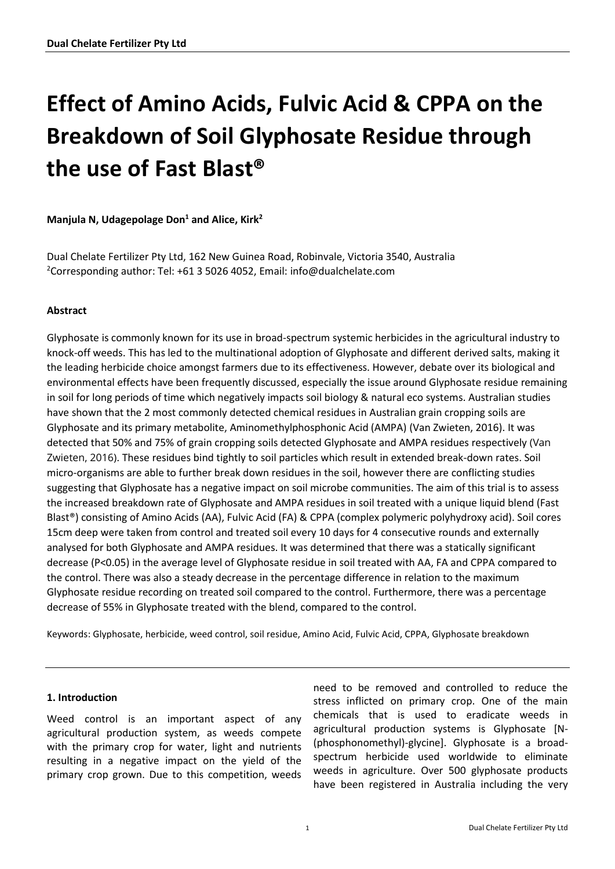# **Effect of Amino Acids, Fulvic Acid & CPPA on the Breakdown of Soil Glyphosate Residue through the use of Fast Blast®**

**Manjula N, Udagepolage Don<sup>1</sup> and Alice, Kirk<sup>2</sup>**

Dual Chelate Fertilizer Pty Ltd, 162 New Guinea Road, Robinvale, Victoria 3540, Australia <sup>2</sup>Corresponding author: Tel:  $+61$  3 5026 4052, Email: info@dualchelate.com

## **Abstract**

Glyphosate is commonly known for its use in broad-spectrum systemic herbicides in the agricultural industry to knock-off weeds. This has led to the multinational adoption of Glyphosate and different derived salts, making it the leading herbicide choice amongst farmers due to its effectiveness. However, debate over its biological and environmental effects have been frequently discussed, especially the issue around Glyphosate residue remaining in soil for long periods of time which negatively impacts soil biology & natural eco systems. Australian studies have shown that the 2 most commonly detected chemical residues in Australian grain cropping soils are Glyphosate and its primary metabolite, Aminomethylphosphonic Acid (AMPA) (Van Zwieten, 2016). It was detected that 50% and 75% of grain cropping soils detected Glyphosate and AMPA residues respectively (Van Zwieten, 2016). These residues bind tightly to soil particles which result in extended break-down rates. Soil micro-organisms are able to further break down residues in the soil, however there are conflicting studies suggesting that Glyphosate has a negative impact on soil microbe communities. The aim of this trial is to assess the increased breakdown rate of Glyphosate and AMPA residues in soil treated with a unique liquid blend (Fast Blast®) consisting of Amino Acids (AA), Fulvic Acid (FA) & CPPA (complex polymeric polyhydroxy acid). Soil cores 15cm deep were taken from control and treated soil every 10 days for 4 consecutive rounds and externally analysed for both Glyphosate and AMPA residues. It was determined that there was a statically significant decrease (P<0.05) in the average level of Glyphosate residue in soil treated with AA, FA and CPPA compared to the control. There was also a steady decrease in the percentage difference in relation to the maximum Glyphosate residue recording on treated soil compared to the control. Furthermore, there was a percentage decrease of 55% in Glyphosate treated with the blend, compared to the control.

Keywords: Glyphosate, herbicide, weed control, soil residue, Amino Acid, Fulvic Acid, CPPA, Glyphosate breakdown

#### **1. Introduction**

Weed control is an important aspect of any agricultural production system, as weeds compete with the primary crop for water, light and nutrients resulting in a negative impact on the yield of the primary crop grown. Due to this competition, weeds

need to be removed and controlled to reduce the stress inflicted on primary crop. One of the main chemicals that is used to eradicate weeds in agricultural production systems is Glyphosate [N- (phosphonomethyl)-glycine]. Glyphosate is a broadspectrum herbicide used worldwide to eliminate weeds in agriculture. Over 500 glyphosate products have been registered in Australia including the very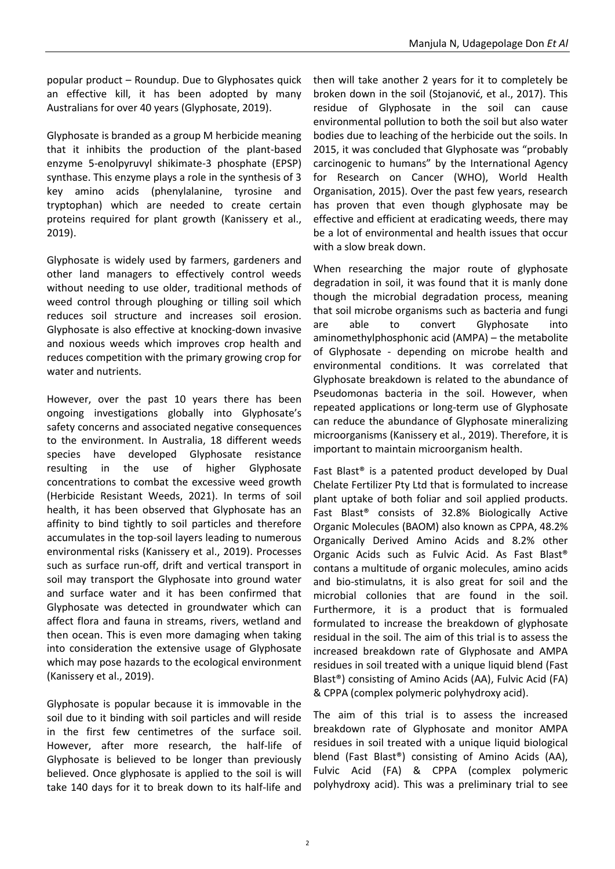popular product – Roundup. Due to Glyphosates quick an effective kill, it has been adopted by many Australians for over 40 years (Glyphosate, 2019).

Glyphosate is branded as a group M herbicide meaning that it inhibits the production of the plant-based enzyme 5-enolpyruvyl shikimate-3 phosphate (EPSP) synthase. This enzyme plays a role in the synthesis of 3 key amino acids (phenylalanine, tyrosine and tryptophan) which are needed to create certain proteins required for plant growth (Kanissery et al., 2019).

Glyphosate is widely used by farmers, gardeners and other land managers to effectively control weeds without needing to use older, traditional methods of weed control through ploughing or tilling soil which reduces soil structure and increases soil erosion. Glyphosate is also effective at knocking-down invasive and noxious weeds which improves crop health and reduces competition with the primary growing crop for water and nutrients.

However, over the past 10 years there has been ongoing investigations globally into Glyphosate's safety concerns and associated negative consequences to the environment. In Australia, 18 different weeds species have developed Glyphosate resistance resulting in the use of higher Glyphosate concentrations to combat the excessive weed growth (Herbicide Resistant Weeds, 2021). In terms of soil health, it has been observed that Glyphosate has an affinity to bind tightly to soil particles and therefore accumulates in the top-soil layers leading to numerous environmental risks (Kanissery et al., 2019). Processes such as surface run-off, drift and vertical transport in soil may transport the Glyphosate into ground water and surface water and it has been confirmed that Glyphosate was detected in groundwater which can affect flora and fauna in streams, rivers, wetland and then ocean. This is even more damaging when taking into consideration the extensive usage of Glyphosate which may pose hazards to the ecological environment (Kanissery et al., 2019).

Glyphosate is popular because it is immovable in the soil due to it binding with soil particles and will reside in the first few centimetres of the surface soil. However, after more research, the half-life of Glyphosate is believed to be longer than previously believed. Once glyphosate is applied to the soil is will take 140 days for it to break down to its half-life and

then will take another 2 years for it to completely be broken down in the soil (Stojanović, et al., 2017). This residue of Glyphosate in the soil can cause environmental pollution to both the soil but also water bodies due to leaching of the herbicide out the soils. In 2015, it was concluded that Glyphosate was "probably carcinogenic to humans" by the International Agency for Research on Cancer (WHO), World Health Organisation, 2015). Over the past few years, research has proven that even though glyphosate may be effective and efficient at eradicating weeds, there may be a lot of environmental and health issues that occur with a slow break down.

When researching the major route of glyphosate degradation in soil, it was found that it is manly done though the microbial degradation process, meaning that soil microbe organisms such as bacteria and fungi are able to convert Glyphosate into aminomethylphosphonic acid (AMPA) – the metabolite of Glyphosate - depending on microbe health and environmental conditions. It was correlated that Glyphosate breakdown is related to the abundance of Pseudomonas bacteria in the soil. However, when repeated applications or long-term use of Glyphosate can reduce the abundance of Glyphosate mineralizing microorganisms (Kanissery et al., 2019). Therefore, it is important to maintain microorganism health.

Fast Blast® is a patented product developed by Dual Chelate Fertilizer Pty Ltd that is formulated to increase plant uptake of both foliar and soil applied products. Fast Blast® consists of 32.8% Biologically Active Organic Molecules (BAOM) also known as CPPA, 48.2% Organically Derived Amino Acids and 8.2% other Organic Acids such as Fulvic Acid. As Fast Blast® contans a multitude of organic molecules, amino acids and bio-stimulatns, it is also great for soil and the microbial collonies that are found in the soil. Furthermore, it is a product that is formualed formulated to increase the breakdown of glyphosate residual in the soil. The aim of this trial is to assess the increased breakdown rate of Glyphosate and AMPA residues in soil treated with a unique liquid blend (Fast Blast®) consisting of Amino Acids (AA), Fulvic Acid (FA) & CPPA (complex polymeric polyhydroxy acid).

The aim of this trial is to assess the increased breakdown rate of Glyphosate and monitor AMPA residues in soil treated with a unique liquid biological blend (Fast Blast®) consisting of Amino Acids (AA), Fulvic Acid (FA) & CPPA (complex polymeric polyhydroxy acid). This was a preliminary trial to see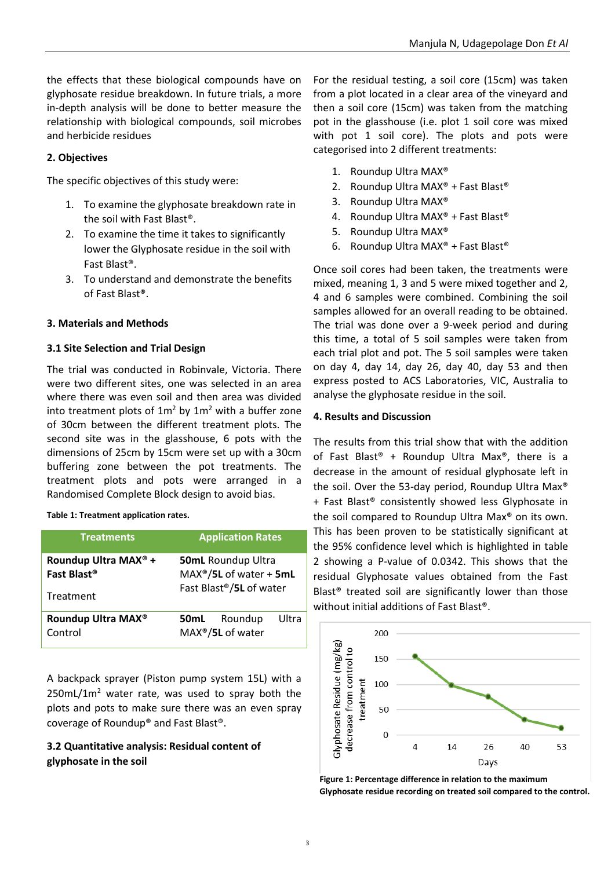the effects that these biological compounds have on glyphosate residue breakdown. In future trials, a more in-depth analysis will be done to better measure the relationship with biological compounds, soil microbes and herbicide residues

# **2. Objectives**

The specific objectives of this study were:

- 1. To examine the glyphosate breakdown rate in the soil with Fast Blast®.
- 2. To examine the time it takes to significantly lower the Glyphosate residue in the soil with Fast Blast®.
- 3. To understand and demonstrate the benefits of Fast Blast®.

## **3. Materials and Methods**

#### **3.1 Site Selection and Trial Design**

The trial was conducted in Robinvale, Victoria. There were two different sites, one was selected in an area where there was even soil and then area was divided into treatment plots of  $1m^2$  by  $1m^2$  with a buffer zone of 30cm between the different treatment plots. The second site was in the glasshouse, 6 pots with the dimensions of 25cm by 15cm were set up with a 30cm buffering zone between the pot treatments. The treatment plots and pots were arranged in a Randomised Complete Block design to avoid bias.

**Table 1: Treatment application rates.**

| <b>Treatments</b>                                                        | <b>Application Rates</b>                                                         |
|--------------------------------------------------------------------------|----------------------------------------------------------------------------------|
| Roundup Ultra MAX <sup>®</sup> +<br>Fast Blast <sup>®</sup><br>Treatment | <b>50mL Roundup Ultra</b><br>$MAX®/5L$ of water + 5mL<br>Fast Blast®/5L of water |
| Roundup Ultra MAX <sup>®</sup><br>Control                                | Ultra<br>Roundup<br>50mL<br>MAX <sup>®</sup> /5L of water                        |

A backpack sprayer (Piston pump system 15L) with a  $250$ mL/1m<sup>2</sup> water rate, was used to spray both the plots and pots to make sure there was an even spray coverage of Roundup® and Fast Blast®.

# **3.2 Quantitative analysis: Residual content of glyphosate in the soil**

For the residual testing, a soil core (15cm) was taken from a plot located in a clear area of the vineyard and then a soil core (15cm) was taken from the matching pot in the glasshouse (i.e. plot 1 soil core was mixed with pot 1 soil core). The plots and pots were categorised into 2 different treatments:

- 1. Roundup Ultra MAX®
- 2. Roundup Ultra MAX® + Fast Blast®
- 3. Roundup Ultra MAX®
- 4. Roundup Ultra MAX® + Fast Blast®
- 5. Roundup Ultra MAX®
- 6. Roundup Ultra MAX® + Fast Blast®

Once soil cores had been taken, the treatments were mixed, meaning 1, 3 and 5 were mixed together and 2, 4 and 6 samples were combined. Combining the soil samples allowed for an overall reading to be obtained. The trial was done over a 9-week period and during this time, a total of 5 soil samples were taken from each trial plot and pot. The 5 soil samples were taken on day 4, day 14, day 26, day 40, day 53 and then express posted to ACS Laboratories, VIC, Australia to analyse the glyphosate residue in the soil.

#### **4. Results and Discussion**

The results from this trial show that with the addition of Fast Blast® + Roundup Ultra Max®, there is a decrease in the amount of residual glyphosate left in the soil. Over the 53-day period, Roundup Ultra Max® + Fast Blast® consistently showed less Glyphosate in the soil compared to Roundup Ultra Max® on its own. This has been proven to be statistically significant at the 95% confidence level which is highlighted in table 2 showing a P-value of 0.0342. This shows that the residual Glyphosate values obtained from the Fast Blast® treated soil are significantly lower than those without initial additions of Fast Blast®.



**Figure 1: Percentage difference in relation to the maximum Glyphosate residue recording on treated soil compared to the control.**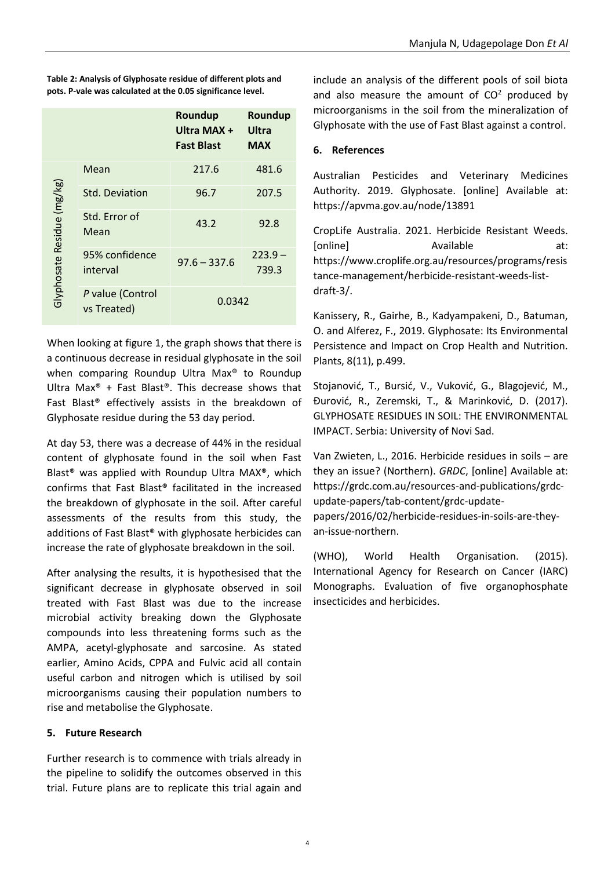|                            |                                 | Roundup<br>Ultra MAX +<br><b>Fast Blast</b> | Roundup<br>Ultra<br><b>MAX</b> |
|----------------------------|---------------------------------|---------------------------------------------|--------------------------------|
|                            | Mean                            | 217.6                                       | 481.6                          |
|                            | Std. Deviation                  | 96.7                                        | 207.5                          |
|                            | Std. Error of<br>Mean           | 43.2                                        | 92.8                           |
| Glyphosate Residue (mg/kg) | 95% confidence<br>interval      | $97.6 - 337.6$                              | $223.9 -$<br>739.3             |
|                            | P value (Control<br>vs Treated) | 0.0342                                      |                                |

**Table 2: Analysis of Glyphosate residue of different plots and pots. P-vale was calculated at the 0.05 significance level.**

When looking at figure 1, the graph shows that there is a continuous decrease in residual glyphosate in the soil when comparing Roundup Ultra Max® to Roundup Ultra Max® + Fast Blast®. This decrease shows that Fast Blast® effectively assists in the breakdown of Glyphosate residue during the 53 day period.

At day 53, there was a decrease of 44% in the residual content of glyphosate found in the soil when Fast Blast® was applied with Roundup Ultra MAX®, which confirms that Fast Blast® facilitated in the increased the breakdown of glyphosate in the soil. After careful assessments of the results from this study, the additions of Fast Blast® with glyphosate herbicides can increase the rate of glyphosate breakdown in the soil.

After analysing the results, it is hypothesised that the significant decrease in glyphosate observed in soil treated with Fast Blast was due to the increase microbial activity breaking down the Glyphosate compounds into less threatening forms such as the AMPA, acetyl-glyphosate and sarcosine. As stated earlier, Amino Acids, CPPA and Fulvic acid all contain useful carbon and nitrogen which is utilised by soil microorganisms causing their population numbers to rise and metabolise the Glyphosate.

# **5. Future Research**

Further research is to commence with trials already in the pipeline to solidify the outcomes observed in this trial. Future plans are to replicate this trial again and include an analysis of the different pools of soil biota and also measure the amount of  $CO<sup>2</sup>$  produced by microorganisms in the soil from the mineralization of Glyphosate with the use of Fast Blast against a control.

# **6. References**

Australian Pesticides and Veterinary Medicines Authority. 2019. Glyphosate. [online] Available at: <https://apvma.gov.au/node/13891>

CropLife Australia. 2021. Herbicide Resistant Weeds. [online] The Available at: [https://www.croplife.org.au/resources/programs/resis](https://www.croplife.org.au/resources/programs/resistance-management/herbicide-resistant-weeds-list-draft-3/) [tance-management/herbicide-resistant-weeds-list](https://www.croplife.org.au/resources/programs/resistance-management/herbicide-resistant-weeds-list-draft-3/)[draft-3/.](https://www.croplife.org.au/resources/programs/resistance-management/herbicide-resistant-weeds-list-draft-3/)

Kanissery, R., Gairhe, B., Kadyampakeni, D., Batuman, O. and Alferez, F., 2019. Glyphosate: Its Environmental Persistence and Impact on Crop Health and Nutrition. Plants, 8(11), p.499.

Stojanović, T., Bursić, V., Vuković, G., Blagojević, M., Đurović, R., Zeremski, T., & Marinković, D. (2017). GLYPHOSATE RESIDUES IN SOIL: THE ENVIRONMENTAL IMPACT. Serbia: University of Novi Sad.

Van Zwieten, L., 2016. Herbicide residues in soils – are they an issue? (Northern). *GRDC*, [online] Available at: [https://grdc.com.au/resources-and-publications/grdc](https://grdc.com.au/resources-and-publications/grdc-update-papers/tab-content/grdc-update-papers/2016/02/herbicide-residues-in-soils-are-they-an-issue-northern)[update-papers/tab-content/grdc-update](https://grdc.com.au/resources-and-publications/grdc-update-papers/tab-content/grdc-update-papers/2016/02/herbicide-residues-in-soils-are-they-an-issue-northern)[papers/2016/02/herbicide-residues-in-soils-are-they-](https://grdc.com.au/resources-and-publications/grdc-update-papers/tab-content/grdc-update-papers/2016/02/herbicide-residues-in-soils-are-they-an-issue-northern)

[an-issue-northern.](https://grdc.com.au/resources-and-publications/grdc-update-papers/tab-content/grdc-update-papers/2016/02/herbicide-residues-in-soils-are-they-an-issue-northern)

(WHO), World Health Organisation. (2015). International Agency for Research on Cancer (IARC) Monographs. Evaluation of five organophosphate insecticides and herbicides.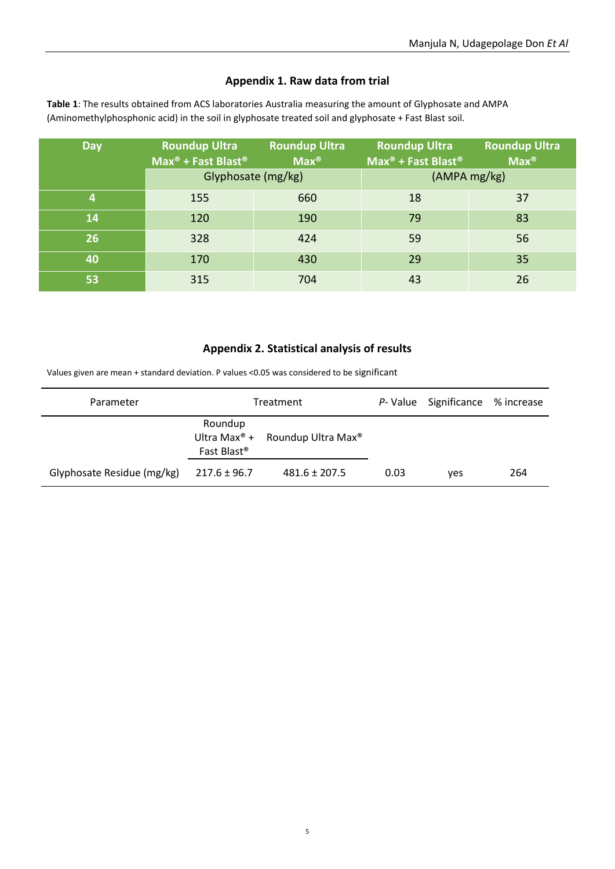# **Appendix 1. Raw data from trial**

| <b>Day</b> | <b>Roundup Ultra</b><br>Max <sup>®</sup> + Fast Blast <sup>®</sup> | <b>Roundup Ultra</b><br>$\overline{\mathsf{Max}^{\otimes}}$ | <b>Roundup Ultra</b><br>Max <sup>®</sup> + Fast Blast <sup>®</sup> | <b>Roundup Ultra</b><br>$Max^{\circledR}$ |
|------------|--------------------------------------------------------------------|-------------------------------------------------------------|--------------------------------------------------------------------|-------------------------------------------|
|            | Glyphosate (mg/kg)                                                 |                                                             |                                                                    | (AMPA mg/kg)                              |
| 4          | 155                                                                | 660                                                         | 18                                                                 | 37                                        |
| 14         | 120                                                                | 190                                                         | 79                                                                 | 83                                        |
| 26         | 328                                                                | 424                                                         | 59                                                                 | 56                                        |
| 40         | 170                                                                | 430                                                         | 29                                                                 | 35                                        |
| 53         | 315                                                                | 704                                                         | 43                                                                 | 26                                        |

**Table 1**: The results obtained from ACS laboratories Australia measuring the amount of Glyphosate and AMPA (Aminomethylphosphonic acid) in the soil in glyphosate treated soil and glyphosate + Fast Blast soil.

# **Appendix 2. Statistical analysis of results**

Values given are mean + standard deviation. P values <0.05 was considered to be significant

| Parameter                  | Treatment                          |                                                         |      | P-Value Significance % increase |     |
|----------------------------|------------------------------------|---------------------------------------------------------|------|---------------------------------|-----|
|                            | Roundup<br>Fast Blast <sup>®</sup> | Ultra Max <sup>®</sup> + Roundup Ultra Max <sup>®</sup> |      |                                 |     |
| Glyphosate Residue (mg/kg) | $217.6 \pm 96.7$                   | $481.6 \pm 207.5$                                       | 0.03 | yes                             | 264 |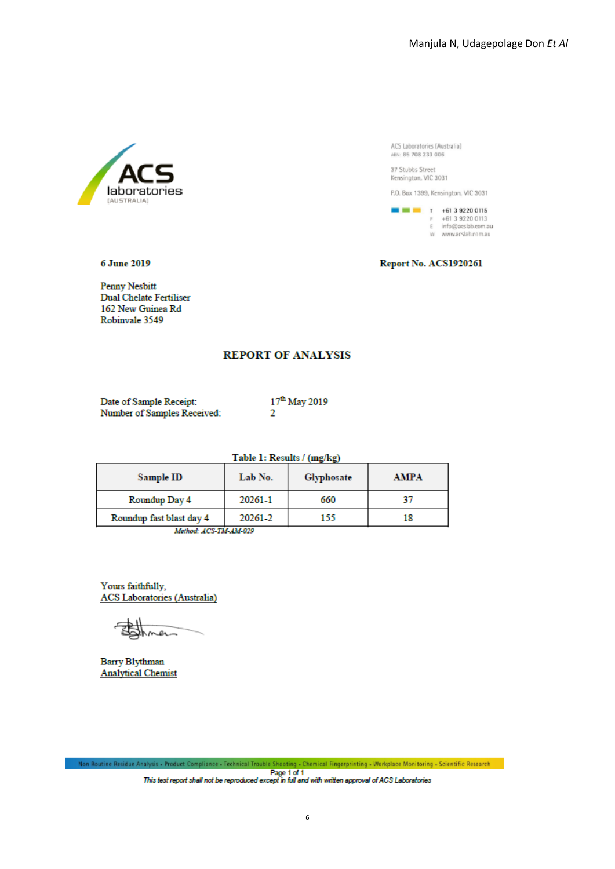

37 Stubbs Street<br>Kensington, VIC 3031

P.O. Box 1399, Kensington, VIC 3031



6 June 2019

Report No. ACS1920261

Penny Nesbitt Dual Chelate Fertiliser 162 New Guinea Rd Robinvale 3549

#### **REPORT OF ANALYSIS**

Date of Sample Receipt: Number of Samples Received: 17<sup>th</sup> May 2019  $\overline{2}$ 

Table 1: Results / (mg/kg)

| Sample ID                 | Lab No. | Glyphosate | <b>AMPA</b> |
|---------------------------|---------|------------|-------------|
| Roundup Day 4             | 20261-1 | 660        |             |
| Roundup fast blast day 4  | 20261-2 | 155        | 18          |
| 12-4-5, 1200-002, 112-000 |         |            |             |

Method: ACS-TM-AM-029

Yours faithfully, **ACS** Laboratories (Australia)

o.

Barry Blythman **Analytical Chemist**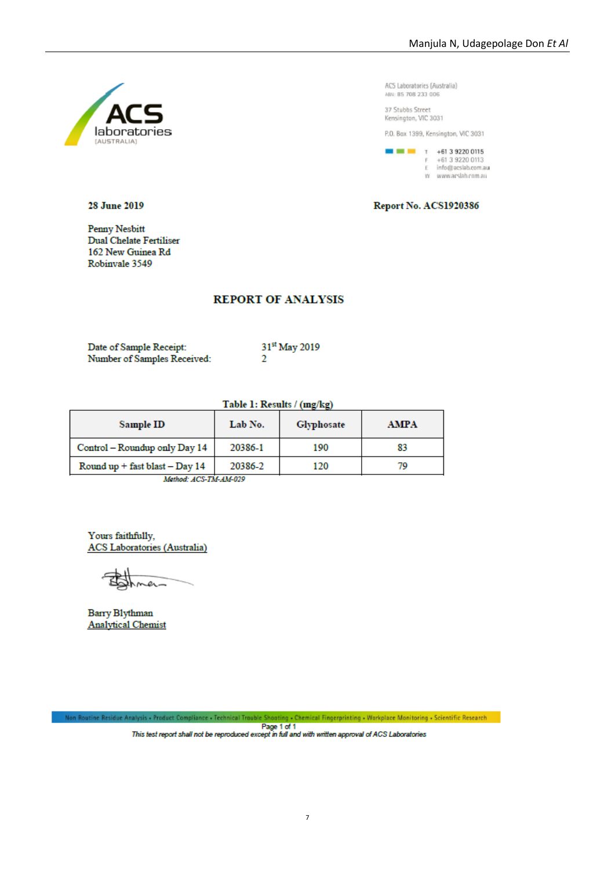

37 Stubbs Street Kensington, VIC 3031

P.O. Box 1399, Kensington, VIC 3031

 $\blacksquare$   $\blacksquare$   $\blacksquare$   $\blacksquare$   $\blacksquare$   $\blacksquare$   $\blacksquare$   $\blacksquare$   $\blacksquare$   $\blacksquare$   $\blacksquare$   $\blacksquare$   $\blacksquare$   $\blacksquare$   $\blacksquare$   $\blacksquare$   $\blacksquare$   $\blacksquare$   $\blacksquare$   $\blacksquare$   $\blacksquare$   $\blacksquare$   $\blacksquare$  $F +61392200113$ <br>Einfo@acslab.com.au w www.arslah.com.au

Report No. ACS1920386

#### 28 June 2019

Penny Nesbitt Dual Chelate Fertiliser 162 New Guinea Rd Robinvale 3549

#### **REPORT OF ANALYSIS**

| Date of Sample Receipt:     |  |
|-----------------------------|--|
| Number of Samples Received: |  |

31st May 2019  $\overline{2}$ 

| Table 1: Results / (mg/kg) |  |
|----------------------------|--|
|                            |  |

| Sample ID                                                                                                              | Lab No. | Glyphosate | <b>AMPA</b> |
|------------------------------------------------------------------------------------------------------------------------|---------|------------|-------------|
| Control - Roundup only Day 14                                                                                          | 20386-1 | 190        | 83          |
| Round up + fast blast - Day 14                                                                                         | 20386-2 | 120        | 70          |
| <b>THE REPORT OF A STATE OF A PART OF A PART OF A PART OF A PART OF A PART OF A PART OF A PART OF A PART OF A PART</b> |         |            |             |

Method: ACS-TM-AM-029

Yours faithfully, **ACS** Laboratories (Australia)

e

**Barry Blythman Analytical Chemist** 

Non Routine Residue Analysis - Product Compliance - Technical Trouble Shooting - Chemical Fingerprinting - Workplace Monitoring - Scientific Research Page 1 of 1<br>This test report shall not be reproduced except in full and with written approval of ACS Laboratories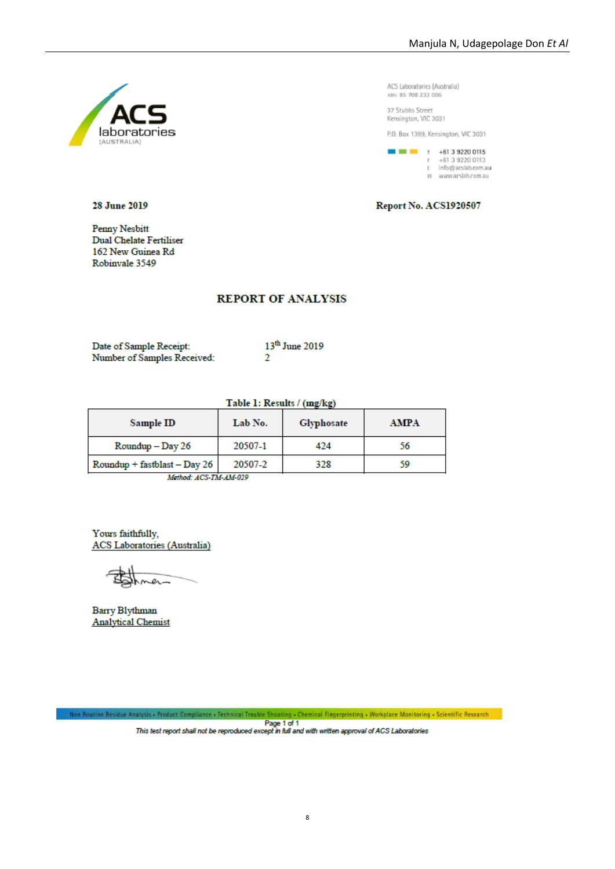

37 Stubbs Street Kensington, VIC 3031

P.O. Box 1399, Kensington, VIC 3031

 $\blacksquare$   $\blacksquare$   $\blacksquare$   $\blacksquare$   $\blacksquare$   $\blacksquare$   $\blacksquare$   $\blacksquare$   $\blacksquare$   $\blacksquare$   $\blacksquare$   $\blacksquare$   $\blacksquare$   $\blacksquare$   $\blacksquare$   $\blacksquare$   $\blacksquare$   $\blacksquare$   $\blacksquare$   $\blacksquare$ +61 3 9220 0113 E info@acslab.com.au w www.arslah.com.au

Report No. ACS1920507

#### 28 June 2019

**Penny Nesbitt** Dual Chelate Fertiliser 162 New Guinea Rd Robinvale 3549

#### **REPORT OF ANALYSIS**

Date of Sample Receipt: Number of Samples Received: 13<sup>th</sup> June 2019  $\overline{2}$ 

Table 1: Results / (mg/kg)

| Sample ID                      | Lab No. | Glyphosate | <b>AMPA</b> |
|--------------------------------|---------|------------|-------------|
| $Roundup$ – Day 26             | 20507-1 | 424        | 56          |
| $Roundup + fastblast - Day 26$ | 20507-2 | 328        | 59          |
| 17.4.2.3. THE THE 117 000      |         |            |             |

Mathod: ACS-TM-AM-029

Yours faithfully, **ACS** Laboratories (Australia)

**Barry Blythman Analytical Chemist** 

Non Routine Residue Analysis - Product Compliance - Technical Trouble Shooting - Chemical Fingerprinting - Workplace Monitoring - Scientific Research Page 1 of 1<br>This test report shall not be reproduced except in full and with written approval of ACS Laboratories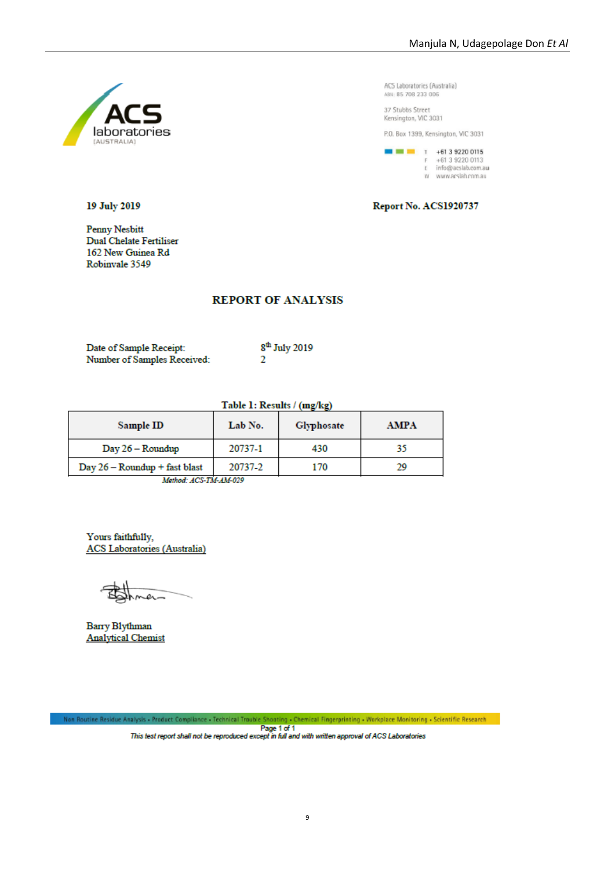

37 Stubbs Street Kensington, VIC 3031

P.O. Box 1399, Kensington, VIC 3031

 $\blacksquare$   $\blacksquare$   $\blacksquare$   $\blacksquare$   $\blacksquare$   $\blacksquare$   $\blacksquare$   $\blacksquare$   $\blacksquare$   $\blacksquare$   $\blacksquare$   $\blacksquare$   $\blacksquare$   $\blacksquare$   $\blacksquare$   $\blacksquare$   $\blacksquare$   $\blacksquare$   $\blacksquare$   $\blacksquare$   $\blacksquare$   $\blacksquare$   $\blacksquare$ +61 3 9220 0113 E info@acslab.com.au w www.arslah.com.au

Report No. ACS1920737

#### 19 July 2019

**Penny Nesbitt Dual Chelate Fertiliser** 162 New Guinea Rd Robinvale 3549

## **REPORT OF ANALYSIS**

| Date of Sample Receipt:     | 8 <sup>th</sup> July 2019 |
|-----------------------------|---------------------------|
| Number of Samples Received: |                           |

# Table 1: Results / (mg/kg)

| Sample ID                     | Lab No. | Glyphosate | AMPA |
|-------------------------------|---------|------------|------|
| $Day 26 - Roundup$            | 20737-1 | 430        |      |
| Day 26 - Roundup + fast blast | 20737-2 | 170        | 29   |

Method: ACS-TM-AM-029

Yours faithfully, **ACS** Laboratories (Australia)

Barry Blythman **Analytical Chemist** 

Non Routine Residue Analysis • Product Compliance • Technical Trouble Shooting • Chemical Fingerprinting • Workplace Monitoring • Scientific Research Page 1 of 1<br>Page 1 of 1<br>This test report shall not be reproduced except in full and with written approval of ACS Laboratories